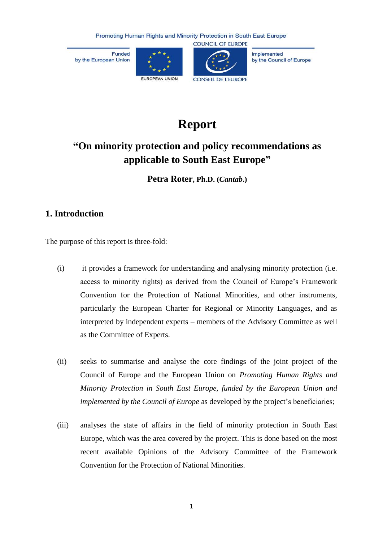Funded by the European Union





Implemented by the Council of Europe

# **Report**

# **"On minority protection and policy recommendations as applicable to South East Europe"**

**Petra Roter, Ph.D. (***Cantab***.)**

### **1. Introduction**

The purpose of this report is three-fold:

- (i) it provides a framework for understanding and analysing minority protection (i.e. access to minority rights) as derived from the Council of Europe's Framework Convention for the Protection of National Minorities, and other instruments, particularly the European Charter for Regional or Minority Languages, and as interpreted by independent experts – members of the Advisory Committee as well as the Committee of Experts.
- (ii) seeks to summarise and analyse the core findings of the joint project of the Council of Europe and the European Union on *Promoting Human Rights and Minority Protection in South East Europe, funded by the European Union and implemented by the Council of Europe* as developed by the project's beneficiaries;
- (iii) analyses the state of affairs in the field of minority protection in South East Europe, which was the area covered by the project. This is done based on the most recent available Opinions of the Advisory Committee of the Framework Convention for the Protection of National Minorities.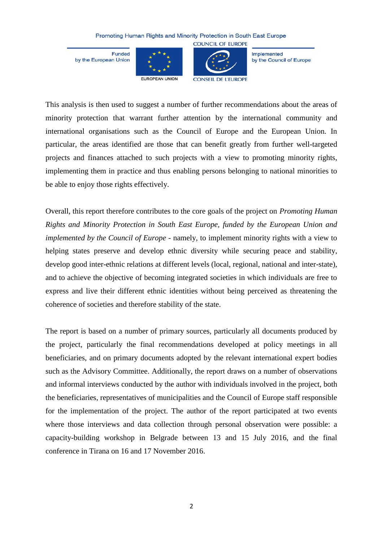Funded by the European Union





**COUNCIL OF EUROPE** 

Implemented by the Council of Europe

This analysis is then used to suggest a number of further recommendations about the areas of minority protection that warrant further attention by the international community and international organisations such as the Council of Europe and the European Union. In particular, the areas identified are those that can benefit greatly from further well-targeted projects and finances attached to such projects with a view to promoting minority rights, implementing them in practice and thus enabling persons belonging to national minorities to be able to enjoy those rights effectively.

Overall, this report therefore contributes to the core goals of the project on *Promoting Human Rights and Minority Protection in South East Europe, funded by the European Union and implemented by the Council of Europe* - namely, to implement minority rights with a view to helping states preserve and develop ethnic diversity while securing peace and stability, develop good inter-ethnic relations at different levels (local, regional, national and inter-state), and to achieve the objective of becoming integrated societies in which individuals are free to express and live their different ethnic identities without being perceived as threatening the coherence of societies and therefore stability of the state.

The report is based on a number of primary sources, particularly all documents produced by the project, particularly the final recommendations developed at policy meetings in all beneficiaries, and on primary documents adopted by the relevant international expert bodies such as the Advisory Committee. Additionally, the report draws on a number of observations and informal interviews conducted by the author with individuals involved in the project, both the beneficiaries, representatives of municipalities and the Council of Europe staff responsible for the implementation of the project. The author of the report participated at two events where those interviews and data collection through personal observation were possible: a capacity-building workshop in Belgrade between 13 and 15 July 2016, and the final conference in Tirana on 16 and 17 November 2016.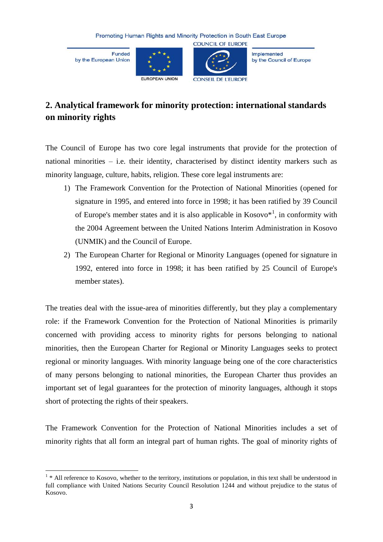Funded by the European Union





Implemented by the Council of Europe

# **2. Analytical framework for minority protection: international standards on minority rights**

The Council of Europe has two core legal instruments that provide for the protection of national minorities – i.e. their identity, characterised by distinct identity markers such as minority language, culture, habits, religion. These core legal instruments are:

- 1) The Framework Convention for the Protection of National Minorities (opened for signature in 1995, and entered into force in 1998; it has been ratified by 39 Council of Europe's member states and it is also applicable in  $Kosovo^{*1}$ , in conformity with the 2004 Agreement between the United Nations Interim Administration in Kosovo (UNMIK) and the Council of Europe.
- 2) The European Charter for Regional or Minority Languages (opened for signature in 1992, entered into force in 1998; it has been ratified by 25 Council of Europe's member states).

The treaties deal with the issue-area of minorities differently, but they play a complementary role: if the Framework Convention for the Protection of National Minorities is primarily concerned with providing access to minority rights for persons belonging to national minorities, then the European Charter for Regional or Minority Languages seeks to protect regional or minority languages. With minority language being one of the core characteristics of many persons belonging to national minorities, the European Charter thus provides an important set of legal guarantees for the protection of minority languages, although it stops short of protecting the rights of their speakers.

The Framework Convention for the Protection of National Minorities includes a set of minority rights that all form an integral part of human rights. The goal of minority rights of

<sup>1</sup>  $1 * All reference to Kosovo, whether to the territory, institutions or population, in this text shall be understood in$ full compliance with United Nations Security Council Resolution 1244 and without prejudice to the status of Kosovo.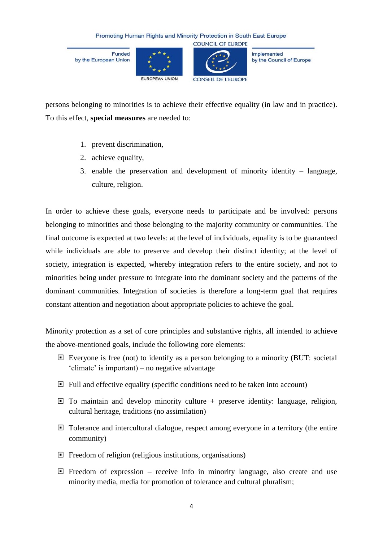Funded by the European Union





Implemented by the Council of Europe

persons belonging to minorities is to achieve their effective equality (in law and in practice). To this effect, **special measures** are needed to:

- 1. prevent discrimination,
- 2. achieve equality,
- 3. enable the preservation and development of minority identity language, culture, religion.

In order to achieve these goals, everyone needs to participate and be involved: persons belonging to minorities and those belonging to the majority community or communities. The final outcome is expected at two levels: at the level of individuals, equality is to be guaranteed while individuals are able to preserve and develop their distinct identity; at the level of society, integration is expected, whereby integration refers to the entire society, and not to minorities being under pressure to integrate into the dominant society and the patterns of the dominant communities. Integration of societies is therefore a long-term goal that requires constant attention and negotiation about appropriate policies to achieve the goal.

Minority protection as a set of core principles and substantive rights, all intended to achieve the above-mentioned goals, include the following core elements:

- Everyone is free (not) to identify as a person belonging to a minority (BUT: societal 'climate' is important) – no negative advantage
- $\Box$  Full and effective equality (specific conditions need to be taken into account)
- $\Box$  To maintain and develop minority culture + preserve identity: language, religion, cultural heritage, traditions (no assimilation)
- Tolerance and intercultural dialogue, respect among everyone in a territory (the entire community)
- $\Box$  Freedom of religion (religious institutions, organisations)
- $\Box$  Freedom of expression receive info in minority language, also create and use minority media, media for promotion of tolerance and cultural pluralism;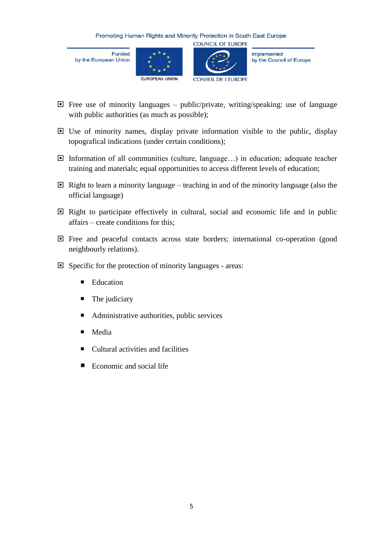Funded by the European Union





**COUNCIL OF EUROPE** 

Implemented by the Council of Europe

- $\Box$  Free use of minority languages public/private, writing/speaking: use of language with public authorities (as much as possible);
- $\Box$  Use of minority names, display private information visible to the public, display topografical indications (under certain conditions);
- Information of all communities (culture, language…) in education; adequate teacher training and materials; equal opportunities to access different levels of education;
- $\Box$  Right to learn a minority language teaching in and of the minority language (also the official language)
- $\Box$  Right to participate effectively in cultural, social and economic life and in public affairs – create conditions for this;
- Free and peaceful contacts across state borders; international co-operation (good neighbourly relations).
- Specific for the protection of minority languages areas:
	- Education
	- The judiciary
	- Administrative authorities, public services
	- **Media**
	- Cultural activities and facilities
	- Economic and social life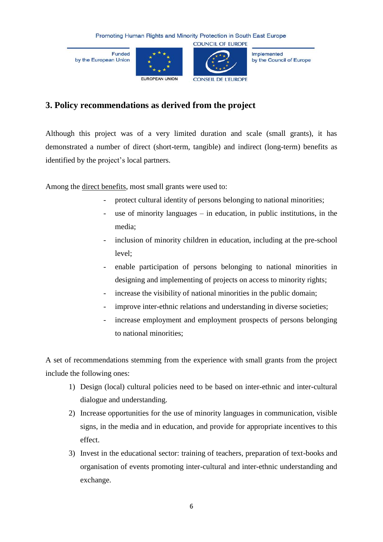Funded by the European Union





Implemented by the Council of Europe

## **3. Policy recommendations as derived from the project**

Although this project was of a very limited duration and scale (small grants), it has demonstrated a number of direct (short-term, tangible) and indirect (long-term) benefits as identified by the project's local partners.

Among the direct benefits, most small grants were used to:

- protect cultural identity of persons belonging to national minorities;
- use of minority languages  $-$  in education, in public institutions, in the media;
- inclusion of minority children in education, including at the pre-school level;
- enable participation of persons belonging to national minorities in designing and implementing of projects on access to minority rights;
- increase the visibility of national minorities in the public domain;
- improve inter-ethnic relations and understanding in diverse societies;
- increase employment and employment prospects of persons belonging to national minorities;

A set of recommendations stemming from the experience with small grants from the project include the following ones:

- 1) Design (local) cultural policies need to be based on inter-ethnic and inter-cultural dialogue and understanding.
- 2) Increase opportunities for the use of minority languages in communication, visible signs, in the media and in education, and provide for appropriate incentives to this effect.
- 3) Invest in the educational sector: training of teachers, preparation of text-books and organisation of events promoting inter-cultural and inter-ethnic understanding and exchange.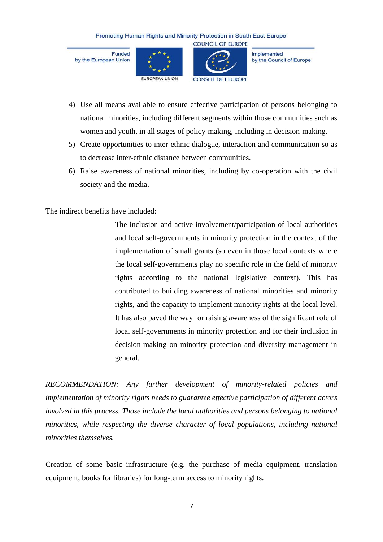Funded by the European Union





**COUNCIL OF EUROPE** 

Implemented by the Council of Europe

- 4) Use all means available to ensure effective participation of persons belonging to national minorities, including different segments within those communities such as women and youth, in all stages of policy-making, including in decision-making.
- 5) Create opportunities to inter-ethnic dialogue, interaction and communication so as to decrease inter-ethnic distance between communities.
- 6) Raise awareness of national minorities, including by co-operation with the civil society and the media.

The indirect benefits have included:

The inclusion and active involvement/participation of local authorities and local self-governments in minority protection in the context of the implementation of small grants (so even in those local contexts where the local self-governments play no specific role in the field of minority rights according to the national legislative context). This has contributed to building awareness of national minorities and minority rights, and the capacity to implement minority rights at the local level. It has also paved the way for raising awareness of the significant role of local self-governments in minority protection and for their inclusion in decision-making on minority protection and diversity management in general.

*RECOMMENDATION: Any further development of minority-related policies and implementation of minority rights needs to guarantee effective participation of different actors involved in this process. Those include the local authorities and persons belonging to national minorities, while respecting the diverse character of local populations, including national minorities themselves.*

Creation of some basic infrastructure (e.g. the purchase of media equipment, translation equipment, books for libraries) for long-term access to minority rights.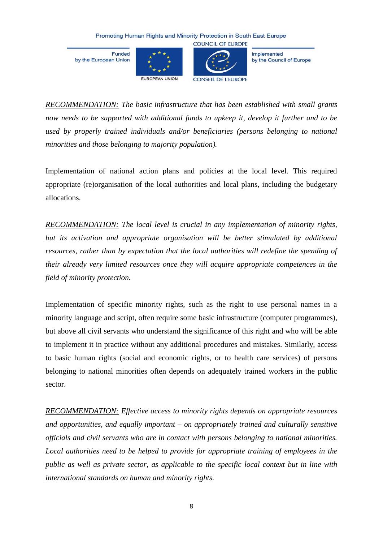Funded by the European Union





**COUNCIL OF EUROPE** 

Implemented by the Council of Europe

*RECOMMENDATION: The basic infrastructure that has been established with small grants now needs to be supported with additional funds to upkeep it, develop it further and to be used by properly trained individuals and/or beneficiaries (persons belonging to national minorities and those belonging to majority population).*

Implementation of national action plans and policies at the local level. This required appropriate (re)organisation of the local authorities and local plans, including the budgetary allocations.

*RECOMMENDATION: The local level is crucial in any implementation of minority rights, but its activation and appropriate organisation will be better stimulated by additional resources, rather than by expectation that the local authorities will redefine the spending of their already very limited resources once they will acquire appropriate competences in the field of minority protection.*

Implementation of specific minority rights, such as the right to use personal names in a minority language and script, often require some basic infrastructure (computer programmes), but above all civil servants who understand the significance of this right and who will be able to implement it in practice without any additional procedures and mistakes. Similarly, access to basic human rights (social and economic rights, or to health care services) of persons belonging to national minorities often depends on adequately trained workers in the public sector.

*RECOMMENDATION: Effective access to minority rights depends on appropriate resources and opportunities, and equally important – on appropriately trained and culturally sensitive officials and civil servants who are in contact with persons belonging to national minorities. Local authorities need to be helped to provide for appropriate training of employees in the public as well as private sector, as applicable to the specific local context but in line with international standards on human and minority rights.*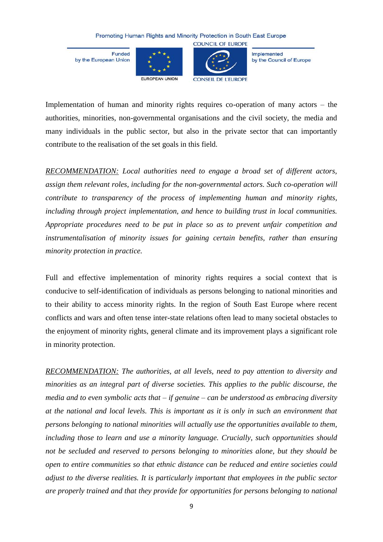Funded by the European Union





**COUNCIL OF EUROPE** 

Implemented by the Council of Europe

Implementation of human and minority rights requires co-operation of many actors – the authorities, minorities, non-governmental organisations and the civil society, the media and many individuals in the public sector, but also in the private sector that can importantly contribute to the realisation of the set goals in this field.

*RECOMMENDATION: Local authorities need to engage a broad set of different actors, assign them relevant roles, including for the non-governmental actors. Such co-operation will contribute to transparency of the process of implementing human and minority rights, including through project implementation, and hence to building trust in local communities. Appropriate procedures need to be put in place so as to prevent unfair competition and instrumentalisation of minority issues for gaining certain benefits, rather than ensuring minority protection in practice.*

Full and effective implementation of minority rights requires a social context that is conducive to self-identification of individuals as persons belonging to national minorities and to their ability to access minority rights. In the region of South East Europe where recent conflicts and wars and often tense inter-state relations often lead to many societal obstacles to the enjoyment of minority rights, general climate and its improvement plays a significant role in minority protection.

*RECOMMENDATION: The authorities, at all levels, need to pay attention to diversity and minorities as an integral part of diverse societies. This applies to the public discourse, the media and to even symbolic acts that – if genuine – can be understood as embracing diversity at the national and local levels. This is important as it is only in such an environment that persons belonging to national minorities will actually use the opportunities available to them, including those to learn and use a minority language. Crucially, such opportunities should not be secluded and reserved to persons belonging to minorities alone, but they should be open to entire communities so that ethnic distance can be reduced and entire societies could adjust to the diverse realities. It is particularly important that employees in the public sector are properly trained and that they provide for opportunities for persons belonging to national*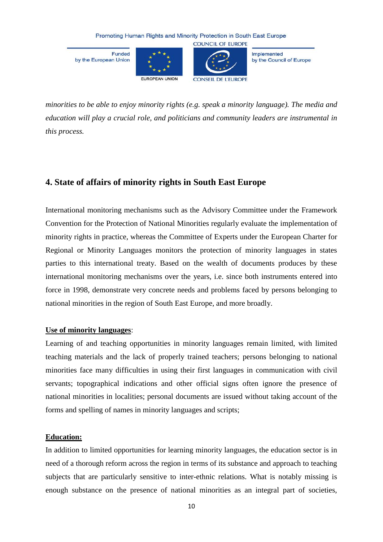Funded by the European Union





**COUNCIL OF EUROPE** 

Implemented by the Council of Europe

*minorities to be able to enjoy minority rights (e.g. speak a minority language). The media and* 

*education will play a crucial role, and politicians and community leaders are instrumental in this process.*

# **4. State of affairs of minority rights in South East Europe**

International monitoring mechanisms such as the Advisory Committee under the Framework Convention for the Protection of National Minorities regularly evaluate the implementation of minority rights in practice, whereas the Committee of Experts under the European Charter for Regional or Minority Languages monitors the protection of minority languages in states parties to this international treaty. Based on the wealth of documents produces by these international monitoring mechanisms over the years, i.e. since both instruments entered into force in 1998, demonstrate very concrete needs and problems faced by persons belonging to national minorities in the region of South East Europe, and more broadly.

### **Use of minority languages**:

Learning of and teaching opportunities in minority languages remain limited, with limited teaching materials and the lack of properly trained teachers; persons belonging to national minorities face many difficulties in using their first languages in communication with civil servants; topographical indications and other official signs often ignore the presence of national minorities in localities; personal documents are issued without taking account of the forms and spelling of names in minority languages and scripts;

### **Education:**

In addition to limited opportunities for learning minority languages, the education sector is in need of a thorough reform across the region in terms of its substance and approach to teaching subjects that are particularly sensitive to inter-ethnic relations. What is notably missing is enough substance on the presence of national minorities as an integral part of societies,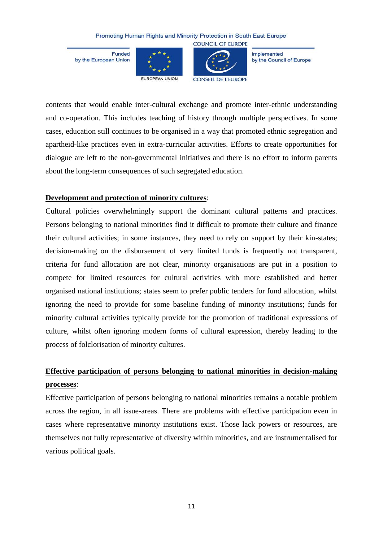Funded by the European Union





**COUNCIL OF EUROPE** 

Implemented by the Council of Europe

contents that would enable inter-cultural exchange and promote inter-ethnic understanding and co-operation. This includes teaching of history through multiple perspectives. In some cases, education still continues to be organised in a way that promoted ethnic segregation and apartheid-like practices even in extra-curricular activities. Efforts to create opportunities for dialogue are left to the non-governmental initiatives and there is no effort to inform parents about the long-term consequences of such segregated education.

### **Development and protection of minority cultures**:

Cultural policies overwhelmingly support the dominant cultural patterns and practices. Persons belonging to national minorities find it difficult to promote their culture and finance their cultural activities; in some instances, they need to rely on support by their kin-states; decision-making on the disbursement of very limited funds is frequently not transparent, criteria for fund allocation are not clear, minority organisations are put in a position to compete for limited resources for cultural activities with more established and better organised national institutions; states seem to prefer public tenders for fund allocation, whilst ignoring the need to provide for some baseline funding of minority institutions; funds for minority cultural activities typically provide for the promotion of traditional expressions of culture, whilst often ignoring modern forms of cultural expression, thereby leading to the process of folclorisation of minority cultures.

# **Effective participation of persons belonging to national minorities in decision-making processes**:

Effective participation of persons belonging to national minorities remains a notable problem across the region, in all issue-areas. There are problems with effective participation even in cases where representative minority institutions exist. Those lack powers or resources, are themselves not fully representative of diversity within minorities, and are instrumentalised for various political goals.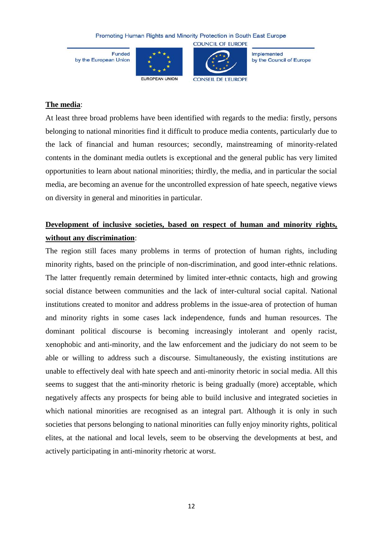Funded by the European Union





**COUNCIL OF EUROPE** 

Implemented by the Council of Europe

### **The media**:

At least three broad problems have been identified with regards to the media: firstly, persons belonging to national minorities find it difficult to produce media contents, particularly due to the lack of financial and human resources; secondly, mainstreaming of minority-related contents in the dominant media outlets is exceptional and the general public has very limited opportunities to learn about national minorities; thirdly, the media, and in particular the social media, are becoming an avenue for the uncontrolled expression of hate speech, negative views on diversity in general and minorities in particular.

# **Development of inclusive societies, based on respect of human and minority rights, without any discrimination**:

The region still faces many problems in terms of protection of human rights, including minority rights, based on the principle of non-discrimination, and good inter-ethnic relations. The latter frequently remain determined by limited inter-ethnic contacts, high and growing social distance between communities and the lack of inter-cultural social capital. National institutions created to monitor and address problems in the issue-area of protection of human and minority rights in some cases lack independence, funds and human resources. The dominant political discourse is becoming increasingly intolerant and openly racist, xenophobic and anti-minority, and the law enforcement and the judiciary do not seem to be able or willing to address such a discourse. Simultaneously, the existing institutions are unable to effectively deal with hate speech and anti-minority rhetoric in social media. All this seems to suggest that the anti-minority rhetoric is being gradually (more) acceptable, which negatively affects any prospects for being able to build inclusive and integrated societies in which national minorities are recognised as an integral part. Although it is only in such societies that persons belonging to national minorities can fully enjoy minority rights, political elites, at the national and local levels, seem to be observing the developments at best, and actively participating in anti-minority rhetoric at worst.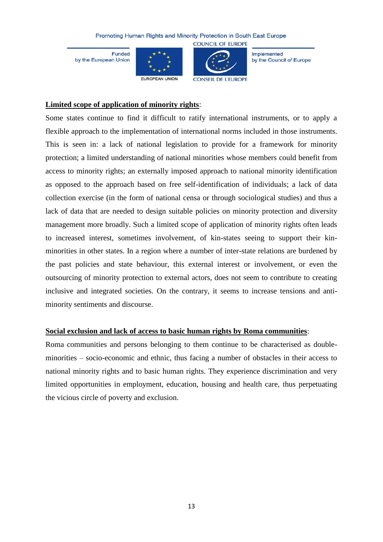Funded by the European Union





**COUNCIL OF EUROPE** 

Implemented by the Council of Europe

### **Limited scope of application of minority rights**:

Some states continue to find it difficult to ratify international instruments, or to apply a flexible approach to the implementation of international norms included in those instruments. This is seen in: a lack of national legislation to provide for a framework for minority protection; a limited understanding of national minorities whose members could benefit from access to minority rights; an externally imposed approach to national minority identification as opposed to the approach based on free self-identification of individuals; a lack of data collection exercise (in the form of national censa or through sociological studies) and thus a lack of data that are needed to design suitable policies on minority protection and diversity management more broadly. Such a limited scope of application of minority rights often leads to increased interest, sometimes involvement, of kin-states seeing to support their kinminorities in other states. In a region where a number of inter-state relations are burdened by the past policies and state behaviour, this external interest or involvement, or even the outsourcing of minority protection to external actors, does not seem to contribute to creating inclusive and integrated societies. On the contrary, it seems to increase tensions and antiminority sentiments and discourse.

### **Social exclusion and lack of access to basic human rights by Roma communities**:

Roma communities and persons belonging to them continue to be characterised as doubleminorities – socio-economic and ethnic, thus facing a number of obstacles in their access to national minority rights and to basic human rights. They experience discrimination and very limited opportunities in employment, education, housing and health care, thus perpetuating the vicious circle of poverty and exclusion.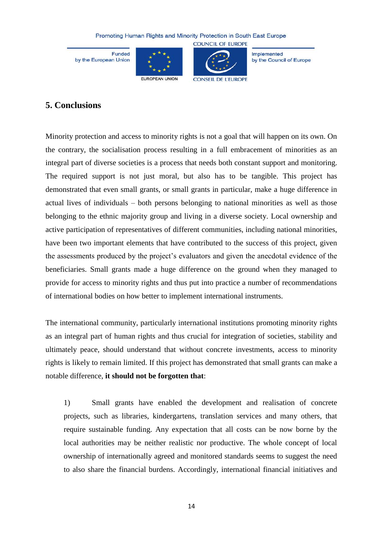Funded by the European Union





Implemented by the Council of Europe

### **5. Conclusions**

Minority protection and access to minority rights is not a goal that will happen on its own. On the contrary, the socialisation process resulting in a full embracement of minorities as an integral part of diverse societies is a process that needs both constant support and monitoring. The required support is not just moral, but also has to be tangible. This project has demonstrated that even small grants, or small grants in particular, make a huge difference in actual lives of individuals – both persons belonging to national minorities as well as those belonging to the ethnic majority group and living in a diverse society. Local ownership and active participation of representatives of different communities, including national minorities, have been two important elements that have contributed to the success of this project, given the assessments produced by the project's evaluators and given the anecdotal evidence of the beneficiaries. Small grants made a huge difference on the ground when they managed to provide for access to minority rights and thus put into practice a number of recommendations of international bodies on how better to implement international instruments.

The international community, particularly international institutions promoting minority rights as an integral part of human rights and thus crucial for integration of societies, stability and ultimately peace, should understand that without concrete investments, access to minority rights is likely to remain limited. If this project has demonstrated that small grants can make a notable difference, **it should not be forgotten that**:

1) Small grants have enabled the development and realisation of concrete projects, such as libraries, kindergartens, translation services and many others, that require sustainable funding. Any expectation that all costs can be now borne by the local authorities may be neither realistic nor productive. The whole concept of local ownership of internationally agreed and monitored standards seems to suggest the need to also share the financial burdens. Accordingly, international financial initiatives and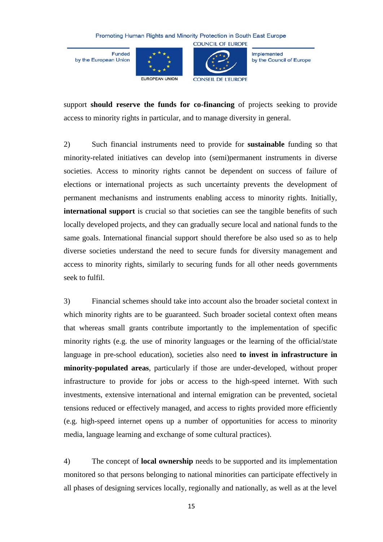Funded by the European Union





**COUNCIL OF EUROPE** 

Implemented by the Council of Europe

support **should reserve the funds for co-financing** of projects seeking to provide access to minority rights in particular, and to manage diversity in general.

2) Such financial instruments need to provide for **sustainable** funding so that minority-related initiatives can develop into (semi)permanent instruments in diverse societies. Access to minority rights cannot be dependent on success of failure of elections or international projects as such uncertainty prevents the development of permanent mechanisms and instruments enabling access to minority rights. Initially, **international support** is crucial so that societies can see the tangible benefits of such locally developed projects, and they can gradually secure local and national funds to the same goals. International financial support should therefore be also used so as to help diverse societies understand the need to secure funds for diversity management and access to minority rights, similarly to securing funds for all other needs governments seek to fulfil.

3) Financial schemes should take into account also the broader societal context in which minority rights are to be guaranteed. Such broader societal context often means that whereas small grants contribute importantly to the implementation of specific minority rights (e.g. the use of minority languages or the learning of the official/state language in pre-school education), societies also need **to invest in infrastructure in minority-populated areas**, particularly if those are under-developed, without proper infrastructure to provide for jobs or access to the high-speed internet. With such investments, extensive international and internal emigration can be prevented, societal tensions reduced or effectively managed, and access to rights provided more efficiently (e.g. high-speed internet opens up a number of opportunities for access to minority media, language learning and exchange of some cultural practices).

4) The concept of **local ownership** needs to be supported and its implementation monitored so that persons belonging to national minorities can participate effectively in all phases of designing services locally, regionally and nationally, as well as at the level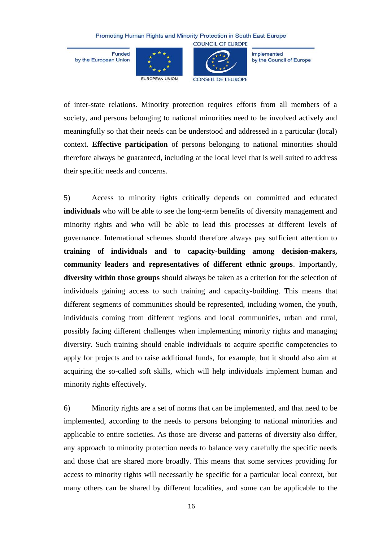Funded by the European Union





**COUNCIL OF EUROPE** 

Implemented by the Council of Europe

of inter-state relations. Minority protection requires efforts from all members of a society, and persons belonging to national minorities need to be involved actively and meaningfully so that their needs can be understood and addressed in a particular (local) context. **Effective participation** of persons belonging to national minorities should therefore always be guaranteed, including at the local level that is well suited to address their specific needs and concerns.

5) Access to minority rights critically depends on committed and educated **individuals** who will be able to see the long-term benefits of diversity management and minority rights and who will be able to lead this processes at different levels of governance. International schemes should therefore always pay sufficient attention to **training of individuals and to capacity-building among decision-makers, community leaders and representatives of different ethnic groups**. Importantly, **diversity within those groups** should always be taken as a criterion for the selection of individuals gaining access to such training and capacity-building. This means that different segments of communities should be represented, including women, the youth, individuals coming from different regions and local communities, urban and rural, possibly facing different challenges when implementing minority rights and managing diversity. Such training should enable individuals to acquire specific competencies to apply for projects and to raise additional funds, for example, but it should also aim at acquiring the so-called soft skills, which will help individuals implement human and minority rights effectively.

6) Minority rights are a set of norms that can be implemented, and that need to be implemented, according to the needs to persons belonging to national minorities and applicable to entire societies. As those are diverse and patterns of diversity also differ, any approach to minority protection needs to balance very carefully the specific needs and those that are shared more broadly. This means that some services providing for access to minority rights will necessarily be specific for a particular local context, but many others can be shared by different localities, and some can be applicable to the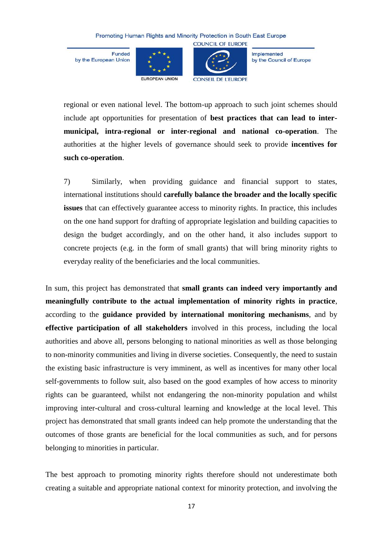Funded by the European Union





**COUNCIL OF EUROPE** 

Implemented by the Council of Europe

regional or even national level. The bottom-up approach to such joint schemes should include apt opportunities for presentation of **best practices that can lead to intermunicipal, intra-regional or inter-regional and national co-operation**. The authorities at the higher levels of governance should seek to provide **incentives for such co-operation**.

7) Similarly, when providing guidance and financial support to states, international institutions should **carefully balance the broader and the locally specific issues** that can effectively guarantee access to minority rights. In practice, this includes on the one hand support for drafting of appropriate legislation and building capacities to design the budget accordingly, and on the other hand, it also includes support to concrete projects (e.g. in the form of small grants) that will bring minority rights to everyday reality of the beneficiaries and the local communities.

In sum, this project has demonstrated that **small grants can indeed very importantly and meaningfully contribute to the actual implementation of minority rights in practice**, according to the **guidance provided by international monitoring mechanisms**, and by **effective participation of all stakeholders** involved in this process, including the local authorities and above all, persons belonging to national minorities as well as those belonging to non-minority communities and living in diverse societies. Consequently, the need to sustain the existing basic infrastructure is very imminent, as well as incentives for many other local self-governments to follow suit, also based on the good examples of how access to minority rights can be guaranteed, whilst not endangering the non-minority population and whilst improving inter-cultural and cross-cultural learning and knowledge at the local level. This project has demonstrated that small grants indeed can help promote the understanding that the outcomes of those grants are beneficial for the local communities as such, and for persons belonging to minorities in particular.

The best approach to promoting minority rights therefore should not underestimate both creating a suitable and appropriate national context for minority protection, and involving the